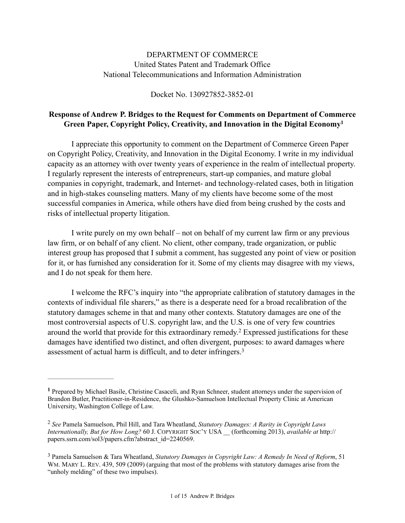## DEPARTMENT OF COMMERCE United States Patent and Trademark Office National Telecommunications and Information Administration

#### Docket No. 130927852-3852-01

## **Response of Andrew P. Bridges to the Request for Comments on Department of Commerce Green Paper, Copyright Policy, Creativity, and Innovation in the Digital Economy1**

I appreciate this opportunity to comment on the Department of Commerce Green Paper on Copyright Policy, Creativity, and Innovation in the Digital Economy. I write in my individual capacity as an attorney with over twenty years of experience in the realm of intellectual property. I regularly represent the interests of entrepreneurs, start-up companies, and mature global companies in copyright, trademark, and Internet- and technology-related cases, both in litigation and in high-stakes counseling matters. Many of my clients have become some of the most successful companies in America, while others have died from being crushed by the costs and risks of intellectual property litigation.

I write purely on my own behalf – not on behalf of my current law firm or any previous law firm, or on behalf of any client. No client, other company, trade organization, or public interest group has proposed that I submit a comment, has suggested any point of view or position for it, or has furnished any consideration for it. Some of my clients may disagree with my views, and I do not speak for them here.

I welcome the RFC's inquiry into "the appropriate calibration of statutory damages in the contexts of individual file sharers," as there is a desperate need for a broad recalibration of the statutory damages scheme in that and many other contexts. Statutory damages are one of the most controversial aspects of U.S. copyright law, and the U.S. is one of very few countries around the world that provide for this extraordinary remedy.<sup>2</sup> Expressed justifications for these damages have identified two distinct, and often divergent, purposes: to award damages where assessment of actual harm is difficult, and to deter infringers.3

Prepared by Michael Basile, Christine Casaceli, and Ryan Schneer, student attorneys under the supervision of **<sup>1</sup>** Brandon Butler, Practitioner-in-Residence, the Glushko-Samuelson Intellectual Property Clinic at American University, Washington College of Law.

*See* Pamela Samuelson, Phil Hill, and Tara Wheatland, *Statutory Damages: A Rarity in Copyright Laws* <sup>2</sup> *Internationally, But for How Long?* 60 J. COPYRIGHT SOC'Y USA \_\_ (forthcoming 2013), *available at* http:// [papers.ssrn.com/sol3/papers.cfm?abstract\\_id=2240569.](http://papers.ssrn.com/sol3/papers.cfm?abstract_id=2240569)

Pamela Samuelson & Tara Wheatland, *Statutory Damages in Copyright Law: A Remedy In Need of Reform*, 51 3 WM. MARY L. REV. 439, 509 (2009) (arguing that most of the problems with statutory damages arise from the "unholy melding" of these two impulses).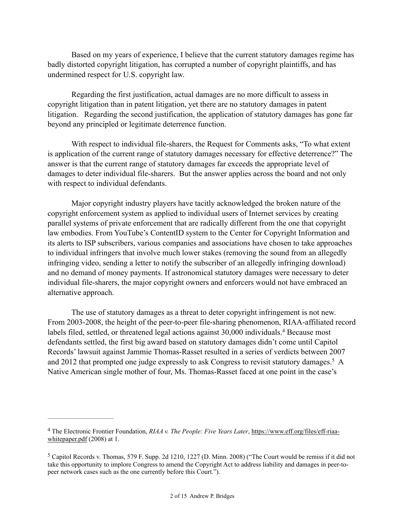Based on my years of experience, I believe that the current statutory damages regime has badly distorted copyright litigation, has corrupted a number of copyright plaintiffs, and has undermined respect for U.S. copyright law.

Regarding the first justification, actual damages are no more difficult to assess in copyright litigation than in patent litigation, yet there are no statutory damages in patent litigation. Regarding the second justification, the application of statutory damages has gone far beyond any principled or legitimate deterrence function.

With respect to individual file-sharers, the Request for Comments asks, "To what extent is application of the current range of statutory damages necessary for effective deterrence?" The answer is that the current range of statutory damages far exceeds the appropriate level of damages to deter individual file-sharers. But the answer applies across the board and not only with respect to individual defendants.

Major copyright industry players have tacitly acknowledged the broken nature of the copyright enforcement system as applied to individual users of Internet services by creating parallel systems of private enforcement that are radically different from the one that copyright law embodies. From YouTube's ContentID system to the Center for Copyright Information and its alerts to ISP subscribers, various companies and associations have chosen to take approaches to individual infringers that involve much lower stakes (removing the sound from an allegedly infringing video, sending a letter to notify the subscriber of an allegedly infringing download) and no demand of money payments. If astronomical statutory damages were necessary to deter individual file-sharers, the major copyright owners and enforcers would not have embraced an alternative approach.

 The use of statutory damages as a threat to deter copyright infringement is not new. From 2003-2008, the height of the peer-to-peer file-sharing phenomenon, RIAA-affiliated record labels filed, settled, or threatened legal actions against 30,000 individuals.<sup>4</sup> Because most defendants settled, the first big award based on statutory damages didn't come until Capitol Records' lawsuit against Jammie Thomas-Rasset resulted in a series of verdicts between 2007 and 2012 that prompted one judge expressly to ask Congress to revisit statutory damages.<sup>5</sup> A Native American single mother of four, Ms. Thomas-Rasset faced at one point in the case's

The Electronic Frontier Foundation, *RIAA v. The People: Five Years Later*, https://www.eff.org/files/eff-riaa- <sup>4</sup> whitepaper.pdf (2008) at 1.

 $5$  Capitol Records v. Thomas, 579 F. Supp. 2d 1210, 1227 (D. Minn. 2008) ("The Court would be remiss if it did not take this opportunity to implore Congress to amend the Copyright Act to address liability and damages in peer-topeer network cases such as the one currently before this Court.").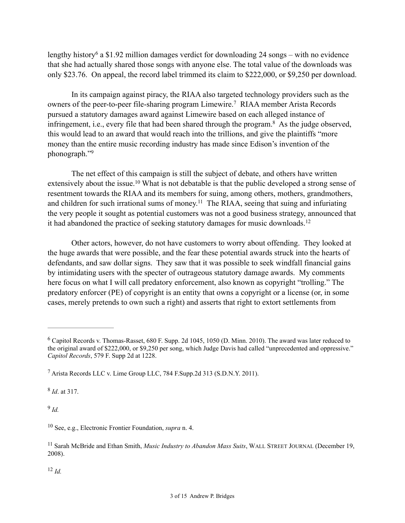lengthy history<sup>6</sup> a \$1.92 million damages verdict for downloading 24 songs – with no evidence that she had actually shared those songs with anyone else. The total value of the downloads was only \$23.76. On appeal, the record label trimmed its claim to \$222,000, or \$9,250 per download.

In its campaign against piracy, the RIAA also targeted technology providers such as the owners of the peer-to-peer file-sharing program Limewire.<sup>7</sup> RIAA member Arista Records pursued a statutory damages award against Limewire based on each alleged instance of infringement, i.e., every file that had been shared through the program. $8$  As the judge observed, this would lead to an award that would reach into the trillions, and give the plaintiffs "more money than the entire music recording industry has made since Edison's invention of the phonograph."<sup>9</sup>

The net effect of this campaign is still the subject of debate, and others have written extensively about the issue.<sup>10</sup> What is not debatable is that the public developed a strong sense of resentment towards the RIAA and its members for suing, among others, mothers, grandmothers, and children for such irrational sums of money.<sup>11</sup> The RIAA, seeing that suing and infuriating the very people it sought as potential customers was not a good business strategy, announced that it had abandoned the practice of seeking statutory damages for music downloads.12

Other actors, however, do not have customers to worry about offending. They looked at the huge awards that were possible, and the fear these potential awards struck into the hearts of defendants, and saw dollar signs. They saw that it was possible to seek windfall financial gains by intimidating users with the specter of outrageous statutory damage awards. My comments here focus on what I will call predatory enforcement, also known as copyright "trolling." The predatory enforcer (PE) of copyright is an entity that owns a copyright or a license (or, in some cases, merely pretends to own such a right) and asserts that right to extort settlements from

<sup>8</sup> *Id*. at 317.

 $9$   $Id$ 

<sup>10</sup> See, e.g., Electronic Frontier Foundation, *supra* n. 4.

<sup>&</sup>lt;sup>6</sup> Capitol Records v. Thomas-Rasset, 680 F. Supp. 2d 1045, 1050 (D. Minn. 2010). The award was later reduced to the original award of \$222,000, or \$9,250 per song, which Judge Davis had called "unprecedented and oppressive." *Capitol Records*, 579 F. Supp 2d at 1228.

Arista Records LLC v. Lime Group LLC, 784 F.Supp.2d 313 (S.D.N.Y. 2011). <sup>7</sup>

<sup>&</sup>lt;sup>11</sup> Sarah McBride and Ethan Smith, *Music Industry to Abandon Mass Suits*, WALL STREET JOURNAL (December 19, 2008).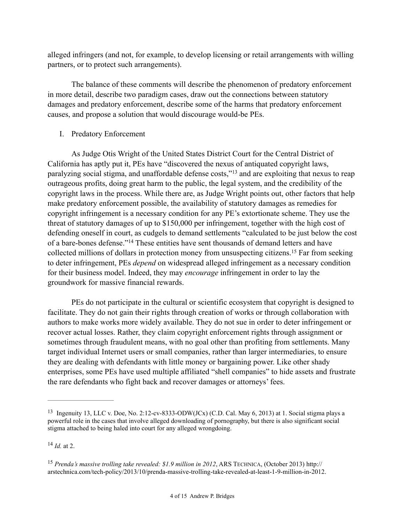alleged infringers (and not, for example, to develop licensing or retail arrangements with willing partners, or to protect such arrangements).

 The balance of these comments will describe the phenomenon of predatory enforcement in more detail, describe two paradigm cases, draw out the connections between statutory damages and predatory enforcement, describe some of the harms that predatory enforcement causes, and propose a solution that would discourage would-be PEs.

## I. Predatory Enforcement

As Judge Otis Wright of the United States District Court for the Central District of California has aptly put it, PEs have "discovered the nexus of antiquated copyright laws, paralyzing social stigma, and unaffordable defense costs,"<sup>13</sup> and are exploiting that nexus to reap outrageous profits, doing great harm to the public, the legal system, and the credibility of the copyright laws in the process. While there are, as Judge Wright points out, other factors that help make predatory enforcement possible, the availability of statutory damages as remedies for copyright infringement is a necessary condition for any PE's extortionate scheme. They use the threat of statutory damages of up to \$150,000 per infringement, together with the high cost of defending oneself in court, as cudgels to demand settlements "calculated to be just below the cost of a bare-bones defense."<sup>14</sup> These entities have sent thousands of demand letters and have collected millions of dollars in protection money from unsuspecting citizens.<sup>15</sup> Far from seeking to deter infringement, PEs *depend* on widespread alleged infringement as a necessary condition for their business model. Indeed, they may *encourage* infringement in order to lay the groundwork for massive financial rewards.

PEs do not participate in the cultural or scientific ecosystem that copyright is designed to facilitate. They do not gain their rights through creation of works or through collaboration with authors to make works more widely available. They do not sue in order to deter infringement or recover actual losses. Rather, they claim copyright enforcement rights through assignment or sometimes through fraudulent means, with no goal other than profiting from settlements. Many target individual Internet users or small companies, rather than larger intermediaries, to ensure they are dealing with defendants with little money or bargaining power. Like other shady enterprises, some PEs have used multiple affiliated "shell companies" to hide assets and frustrate the rare defendants who fight back and recover damages or attorneys' fees.

 $^{14}$  *Id.* at 2.

<sup>&</sup>lt;sup>13</sup> Ingenuity 13, LLC v. Doe, No. 2:12-cv-8333-ODW(JCx) (C.D. Cal. May 6, 2013) at 1. Social stigma plays a powerful role in the cases that involve alleged downloading of pornography, but there is also significant social stigma attached to being haled into court for any alleged wrongdoing.

<sup>&</sup>lt;sup>15</sup> Prenda's massive trolling take revealed: \$1.9 million in 2012, ARS TECHNICA, (October 2013) http:// arstechnica.com/tech-policy/2013/10/prenda-massive-trolling-take-revealed-at-least-1-9-million-in-2012.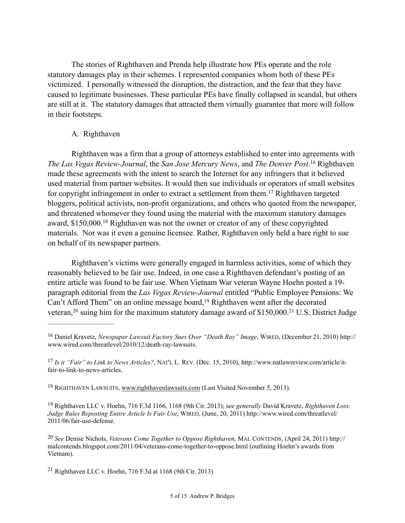The stories of Righthaven and Prenda help illustrate how PEs operate and the role statutory damages play in their schemes. I represented companies whom both of these PEs victimized. I personally witnessed the disruption, the distraction, and the fear that they have caused to legitimate businesses. These particular PEs have finally collapsed in scandal, but others are still at it. The statutory damages that attracted them virtually guarantee that more will follow in their footsteps.

### A. Righthaven

Righthaven was a firm that a group of attorneys established to enter into agreements with *The Las Vegas Review-Journal, the San Jose Mercury News, and <i>The Denver Post*.<sup>16</sup> Righthaven made these agreements with the intent to search the Internet for any infringers that it believed used material from partner websites. It would then sue individuals or operators of small websites for copyright infringement in order to extract a settlement from them.<sup>17</sup> Righthaven targeted bloggers, political activists, non-profit organizations, and others who quoted from the newspaper, and threatened whomever they found using the material with the maximum statutory damages award,  $$150,000$ <sup>18</sup> Righthaven was not the owner or creator of any of these copyrighted materials. Nor was it even a genuine licensee. Rather, Righthaven only held a bare right to sue on behalf of its newspaper partners.

Righthaven's victims were generally engaged in harmless activities, some of which they reasonably believed to be fair use. Indeed, in one case a Righthaven defendant's posting of an entire article was found to be fair use. When Vietnam War veteran Wayne Hoehn posted a 19 paragraph editorial from the *Las Vegas Review-Journal* entitled "Public Employee Pensions: We Can't Afford Them" on an online message board,  $19$  Righthaven went after the decorated veteran,  $20$  suing him for the maximum statutory damage award of \$150,000.<sup>21</sup> U.S. District Judge

 Righthaven LLC v. Hoehn, 716 F.3d 1166, 1168 (9th Cir. 2013); s*ee generally* David Kravetz, *Righthaven Loss:* <sup>19</sup> *Judge Rules Reposting Entire Article Is Fair Use*, WIRED, (June, 20, 2011) http://www.wired.com/threatlevel/ 2011/06/fair-use-defense.

<sup>&</sup>lt;sup>16</sup> Daniel Kravetz, *Newspaper Lawsuit Factory Sues Over "Death Ray" Image*, WIRED, (December 21, 2010) http:// www.wired.com/threatlevel/2010/12/death-ray-lawsuits.

*Is it "Fair" to Link to News Articles?*, NAT'L L. REV. (Dec. 15, 2010), http://www.natlawreview.com/article/it- <sup>17</sup> fair-to-link-to-news-articles.

<sup>&</sup>lt;sup>18</sup> RIGHTHAVEN LAWSUITS, www.righthavenlawsuits.com (Last Visited November 5, 2013).

*See* Denise Nichols, *Veterans Come Together to Oppose Righthaven,* MAL CONTENDS, (April 24, 2011) http:// <sup>20</sup> malcontends.blogspot.com/2011/04/veterans-come-together-to-oppose.html (outlining Hoehn's awards from Vietnam).

<sup>&</sup>lt;sup>21</sup> Righthaven LLC v. Hoehn, 716 F.3d at 1168 (9th Cir. 2013)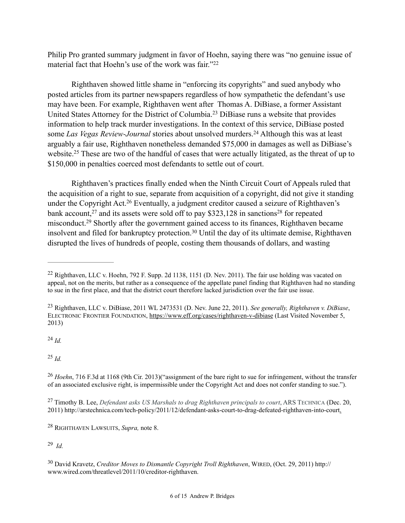Philip Pro granted summary judgment in favor of Hoehn, saying there was "no genuine issue of material fact that Hoehn's use of the work was fair."<sup>22</sup>

Righthaven showed little shame in "enforcing its copyrights" and sued anybody who posted articles from its partner newspapers regardless of how sympathetic the defendant's use may have been. For example, Righthaven went after Thomas A. DiBiase, a former Assistant United States Attorney for the District of Columbia.<sup>23</sup> DiBiase runs a website that provides information to help track murder investigations. In the context of this service, DiBiase posted some *Las Vegas Review-Journal* stories about unsolved murders.<sup>24</sup> Although this was at least arguably a fair use, Righthaven nonetheless demanded \$75,000 in damages as well as DiBiase's website.<sup>25</sup> These are two of the handful of cases that were actually litigated, as the threat of up to \$150,000 in penalties coerced most defendants to settle out of court.

Righthaven's practices finally ended when the Ninth Circuit Court of Appeals ruled that the acquisition of a right to sue, separate from acquisition of a copyright, did not give it standing under the Copyright Act.<sup>26</sup> Eventually, a judgment creditor caused a seizure of Righthaven's bank account,  $27$  and its assets were sold off to pay \$323,128 in sanctions  $28$  for repeated misconduct.<sup>29</sup> Shortly after the government gained access to its finances, Righthaven became insolvent and filed for bankruptcy protection.<sup>30</sup> Until the day of its ultimate demise, Righthaven disrupted the lives of hundreds of people, costing them thousands of dollars, and wasting

 $^{24}$  *Id.* 

 $^{25}$  *Id.* 

<sup>27</sup> Timothy B. Lee, *Defendant asks US Marshals to drag Righthaven principals to court*, ARS TECHNICA (Dec. 20, 2011) http://arstechnica.com/tech-policy/2011/12/defendant-asks-court-to-drag-defeated-righthaven-into-court.

RIGHTHAVEN LAWSUITS, *Supra,* note 8. <sup>28</sup>

*Id.* <sup>29</sup>

 David Kravetz, *Creditor Moves to Dismantle Copyright Troll Righthaven*, WIRED, (Oct. 29, 2011) http:// <sup>30</sup> www.wired.com/threatlevel/2011/10/creditor-righthaven.

<sup>&</sup>lt;sup>22</sup> Righthaven, LLC v. Hoehn, 792 F. Supp. 2d 1138, 1151 (D. Nev. 2011). The fair use holding was vacated on appeal, not on the merits, but rather as a consequence of the appellate panel finding that Righthaven had no standing to sue in the first place, and that the district court therefore lacked jurisdiction over the fair use issue.

Righthaven, LLC v. DiBiase, 2011 WL 2473531 (D. Nev. June 22, 2011). *See generally, Righthaven v. DiBiase*, 23 ELECTRONIC FRONTIER FOUNDATION, https://www.eff.org/cases/righthaven-v-dibiase (Last Visited November 5, 2013)

<sup>&</sup>lt;sup>26</sup> Hoehn, 716 F.3d at 1168 (9th Cir. 2013)("assignment of the bare right to sue for infringement, without the transfer of an associated exclusive right, is impermissible under the Copyright Act and does not confer standing to sue.").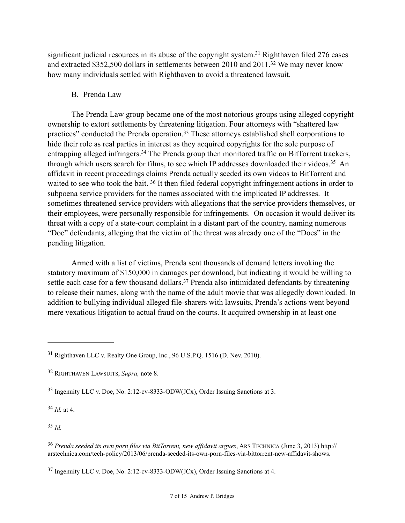significant judicial resources in its abuse of the copyright system.<sup>31</sup> Righthaven filed 276 cases and extracted \$352,500 dollars in settlements between 2010 and  $2011$ .<sup>32</sup> We may never know how many individuals settled with Righthaven to avoid a threatened lawsuit.

#### B. Prenda Law

The Prenda Law group became one of the most notorious groups using alleged copyright ownership to extort settlements by threatening litigation. Four attorneys with "shattered law practices" conducted the Prenda operation.<sup>33</sup> These attorneys established shell corporations to hide their role as real parties in interest as they acquired copyrights for the sole purpose of entrapping alleged infringers.<sup>34</sup> The Prenda group then monitored traffic on BitTorrent trackers, through which users search for films, to see which IP addresses downloaded their videos.<sup>35</sup> An affidavit in recent proceedings claims Prenda actually seeded its own videos to BitTorrent and waited to see who took the bait.  $36$  It then filed federal copyright infringement actions in order to subpoena service providers for the names associated with the implicated IP addresses. It sometimes threatened service providers with allegations that the service providers themselves, or their employees, were personally responsible for infringements. On occasion it would deliver its threat with a copy of a state-court complaint in a distant part of the country, naming numerous "Doe" defendants, alleging that the victim of the threat was already one of the "Does" in the pending litigation.

Armed with a list of victims, Prenda sent thousands of demand letters invoking the statutory maximum of \$150,000 in damages per download, but indicating it would be willing to settle each case for a few thousand dollars.<sup>37</sup> Prenda also intimidated defendants by threatening to release their names, along with the name of the adult movie that was allegedly downloaded. In addition to bullying individual alleged file-sharers with lawsuits, Prenda's actions went beyond mere vexatious litigation to actual fraud on the courts. It acquired ownership in at least one

 $^{34}$  *Id.* at 4.

<sup>&</sup>lt;sup>31</sup> Righthaven LLC v. Realty One Group, Inc., 96 U.S.P.Q. 1516 (D. Nev. 2010).

RIGHTHAVEN LAWSUITS, *Supra,* note 8. <sup>32</sup>

 $33$  Ingenuity LLC v. Doe, No. 2:12-cv-8333-ODW(JCx), Order Issuing Sanctions at 3.

*Prenda seeded its own porn files via BitTorrent, new affidavit argues*, ARS TECHNICA (June 3, 2013) http:// <sup>36</sup> arstechnica.com/tech-policy/2013/06/prenda-seeded-its-own-porn-files-via-bittorrent-new-affidavit-shows.

 $37$  Ingenuity LLC v. Doe, No. 2:12-cv-8333-ODW(JCx), Order Issuing Sanctions at 4.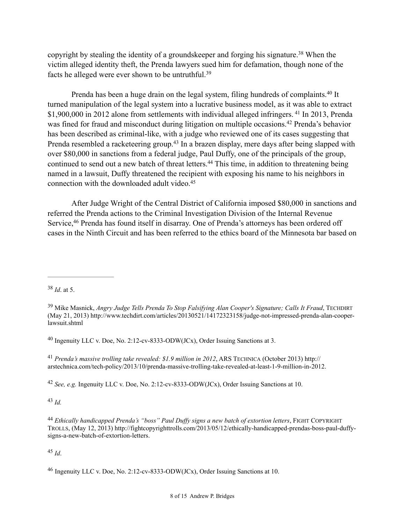copyright by stealing the identity of a groundskeeper and forging his signature.<sup>38</sup> When the victim alleged identity theft, the Prenda lawyers sued him for defamation, though none of the facts he alleged were ever shown to be untruthful.39

Prenda has been a huge drain on the legal system, filing hundreds of complaints.<sup>40</sup> It turned manipulation of the legal system into a lucrative business model, as it was able to extract  $$1,900,000$  in 2012 alone from settlements with individual alleged infringers. <sup>41</sup> In 2013, Prenda was fined for fraud and misconduct during litigation on multiple occasions.<sup>42</sup> Prenda's behavior has been described as criminal-like, with a judge who reviewed one of its cases suggesting that Prenda resembled a racketeering group.<sup>43</sup> In a brazen display, mere days after being slapped with over \$80,000 in sanctions from a federal judge, Paul Duffy, one of the principals of the group, continued to send out a new batch of threat letters.<sup>44</sup> This time, in addition to threatening being named in a lawsuit, Duffy threatened the recipient with exposing his name to his neighbors in connection with the downloaded adult video.<sup>45</sup>

After Judge Wright of the Central District of California imposed \$80,000 in sanctions and referred the Prenda actions to the Criminal Investigation Division of the Internal Revenue Service, <sup>46</sup> Prenda has found itself in disarray. One of Prenda's attorneys has been ordered off cases in the Ninth Circuit and has been referred to the ethics board of the Minnesota bar based on

<sup>40</sup> Ingenuity LLC v. Doe, No. 2:12-cv-8333-ODW(JCx), Order Issuing Sanctions at 3.

*Prenda's massive trolling take revealed: \$1.9 million in 2012*, ARS TECHNICA (October 2013) http:// <sup>41</sup> arstechnica.com/tech-policy/2013/10/prenda-massive-trolling-take-revealed-at-least-1-9-million-in-2012.

<sup>42</sup> See, e.g. Ingenuity LLC v. Doe, No. 2:12-cv-8333-ODW(JCx), Order Issuing Sanctions at 10.

 $43$  *Id.* 

<sup>38</sup> *Id.* at 5.

Mike Masnick, *Angry Judge Tells Prenda To Stop Falsifying Alan Cooper's Signature; Calls It Fraud*, TECHDIRT <sup>39</sup> (May 21, 2013) http://www.techdirt.com/articles/20130521/14172323158/judge-not-impressed-prenda-alan-cooperlawsuit.shtml

*Ethically handicapped Prenda's "boss" Paul Duffy signs a new batch of extortion letters*, FIGHT COPYRIGHT <sup>44</sup> TROLLS, (May 12, 2013) http://fightcopyrighttrolls.com/2013/05/12/ethically-handicapped-prendas-boss-paul-duffysigns-a-new-batch-of-extortion-letters.

<sup>&</sup>lt;sup>46</sup> Ingenuity LLC v. Doe, No. 2:12-cv-8333-ODW(JCx), Order Issuing Sanctions at 10.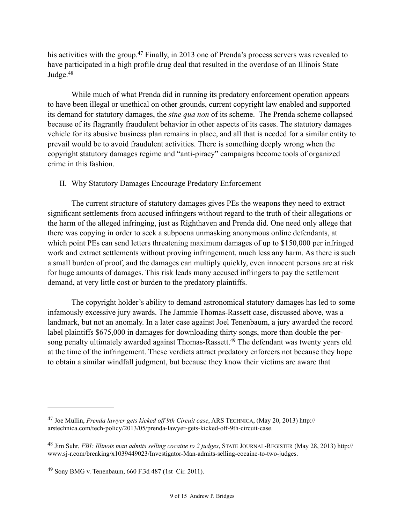his activities with the group.<sup>47</sup> Finally, in 2013 one of Prenda's process servers was revealed to have participated in a high profile drug deal that resulted in the overdose of an Illinois State Judge. 48

While much of what Prenda did in running its predatory enforcement operation appears to have been illegal or unethical on other grounds, current copyright law enabled and supported its demand for statutory damages, the *sine qua non* of its scheme. The Prenda scheme collapsed because of its flagrantly fraudulent behavior in other aspects of its cases. The statutory damages vehicle for its abusive business plan remains in place, and all that is needed for a similar entity to prevail would be to avoid fraudulent activities. There is something deeply wrong when the copyright statutory damages regime and "anti-piracy" campaigns become tools of organized crime in this fashion.

#### II. Why Statutory Damages Encourage Predatory Enforcement

The current structure of statutory damages gives PEs the weapons they need to extract significant settlements from accused infringers without regard to the truth of their allegations or the harm of the alleged infringing, just as Righthaven and Prenda did. One need only allege that there was copying in order to seek a subpoena unmasking anonymous online defendants, at which point PEs can send letters threatening maximum damages of up to \$150,000 per infringed work and extract settlements without proving infringement, much less any harm. As there is such a small burden of proof, and the damages can multiply quickly, even innocent persons are at risk for huge amounts of damages. This risk leads many accused infringers to pay the settlement demand, at very little cost or burden to the predatory plaintiffs.

The copyright holder's ability to demand astronomical statutory damages has led to some infamously excessive jury awards. The Jammie Thomas-Rassett case, discussed above, was a landmark, but not an anomaly. In a later case against Joel Tenenbaum, a jury awarded the record label plaintiffs \$675,000 in damages for downloading thirty songs, more than double the persong penalty ultimately awarded against Thomas-Rassett.<sup>49</sup> The defendant was twenty years old at the time of the infringement. These verdicts attract predatory enforcers not because they hope to obtain a similar windfall judgment, but because they know their victims are aware that

Joe Mullin, *Prenda lawyer gets kicked off 9th Circuit case*, ARS TECHNICA, (May 20, 2013) http:// <sup>47</sup> arstechnica.com/tech-policy/2013/05/prenda-lawyer-gets-kicked-off-9th-circuit-case.

Jim Suhr, *FBI: Illinois man admits selling cocaine to 2 judges*, STATE JOURNAL-REGISTER (May 28, 2013) http:// <sup>48</sup> www.sj-r.com/breaking/x1039449023/Investigator-Man-admits-selling-cocaine-to-two-judges.

Sony BMG v. Tenenbaum, 660 F.3d 487 (1st Cir. 2011). <sup>49</sup>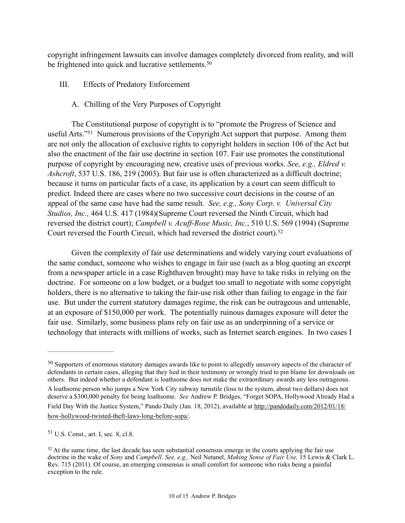copyright infringement lawsuits can involve damages completely divorced from reality, and will be frightened into quick and lucrative settlements.<sup>50</sup>

- III. Effects of Predatory Enforcement
	- A. Chilling of the Very Purposes of Copyright

 The Constitutional purpose of copyright is to "promote the Progress of Science and useful Arts."<sup>51</sup> Numerous provisions of the Copyright Act support that purpose. Among them are not only the allocation of exclusive rights to copyright holders in section 106 of the Act but also the enactment of the fair use doctrine in section 107. Fair use promotes the constitutional purpose of copyright by encouraging new, creative uses of previous works. *See, e.g., Eldred v. Ashcroft*, 537 U.S. 186, 219 (2003). But fair use is often characterized as a difficult doctrine; because it turns on particular facts of a case, its application by a court can seem difficult to predict. Indeed there are cases where no two successive court decisions in the course of an appeal of the same case have had the same result. *See, e.g., Sony Corp. v. Universal City Studios, Inc.,* 464 U.S. 417 (1984)(Supreme Court reversed the Ninth Circuit, which had reversed the district court); *Campbell v. Acuff-Rose Music, Inc.*, 510 U.S. 569 (1994) (Supreme Court reversed the Fourth Circuit, which had reversed the district court).<sup>52</sup>

 Given the complexity of fair use determinations and widely varying court evaluations of the same conduct, someone who wishes to engage in fair use (such as a blog quoting an excerpt from a newspaper article in a case Righthaven brought) may have to take risks in relying on the doctrine. For someone on a low budget, or a budget too small to negotiate with some copyright holders, there is no alternative to taking the fair-use risk other than failing to engage in the fair use. But under the current statutory damages regime, the risk can be outrageous and untenable, at an exposure of \$150,000 per work. The potentially ruinous damages exposure will deter the fair use. Similarly, some business plans rely on fair use as an underpinning of a service or technology that interacts with millions of works, such as Internet search engines. In two cases I

 $50$  Supporters of enormous statutory damages awards like to point to allegedly unsavory aspects of the character of defendants in certain cases, alleging that they lied in their testimony or wrongly tried to pin blame for downloads on others. But indeed whether a defendant is loathsome does not make the extraordinary awards any less outrageous.

A loathsome person who jumps a New York City subway turnstile (loss to the system, about two dollars) does not deserve a \$300,000 penalty for being loathsome. *See* Andrew P. Bridges, "Forget SOPA, Hollywood Already Had a Field Day With the Justice System," Pando Daily (Jan. 18, 2012), available at http://pandodaily.com/2012/01/18/ how-hollywood-twisted-theft-laws-long-before-sopa/.

 $51$  U.S. Const., art. I, sec. 8, cl.8.

 $52$  At the same time, the last decade has seen substantial consensus emerge in the courts applying the fair use doctrine in the wake of *Sony* and *Campbell*. *See, e.g.,* Neil Netanel, *Making Sense of Fair Use,* 15 Lewis & Clark L. Rev. 715 (2011). Of course, an emerging consensus is small comfort for someone who risks being a painful exception to the rule.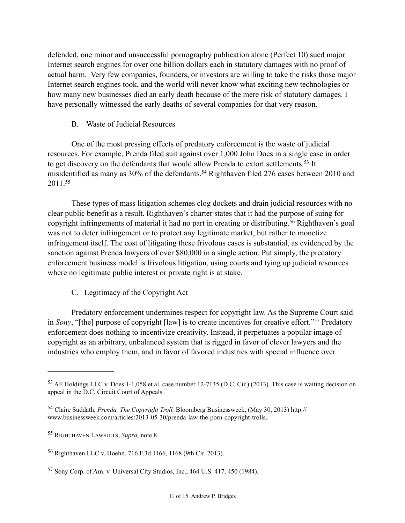defended, one minor and unsuccessful pornography publication alone (Perfect 10) sued major Internet search engines for over one billion dollars each in statutory damages with no proof of actual harm. Very few companies, founders, or investors are willing to take the risks those major Internet search engines took, and the world will never know what exciting new technologies or how many new businesses died an early death because of the mere risk of statutory damages. I have personally witnessed the early deaths of several companies for that very reason.

## B. Waste of Judicial Resources

One of the most pressing effects of predatory enforcement is the waste of judicial resources. For example, Prenda filed suit against over 1,000 John Does in a single case in order to get discovery on the defendants that would allow Prenda to extort settlements.<sup>53</sup> It misidentified as many as 30% of the defendants.<sup>54</sup> Righthaven filed 276 cases between 2010 and 2011.55

These types of mass litigation schemes clog dockets and drain judicial resources with no clear public benefit as a result. Righthaven's charter states that it had the purpose of suing for copyright infringements of material it had no part in creating or distributing.<sup>56</sup> Righthaven's goal was not to deter infringement or to protect any legitimate market, but rather to monetize infringement itself. The cost of litigating these frivolous cases is substantial, as evidenced by the sanction against Prenda lawyers of over \$80,000 in a single action. Put simply, the predatory enforcement business model is frivolous litigation, using courts and tying up judicial resources where no legitimate public interest or private right is at stake.

# C. Legitimacy of the Copyright Act

Predatory enforcement undermines respect for copyright law. As the Supreme Court said in *Sony*, "[the] purpose of copyright [law] is to create incentives for creative effort."<sup>57</sup> Predatory enforcement does nothing to incentivize creativity. Instead, it perpetuates a popular image of copyright as an arbitrary, unbalanced system that is rigged in favor of clever lawyers and the industries who employ them, and in favor of favored industries with special influence over

<sup>&</sup>lt;sup>53</sup> AF Holdings LLC v. Does 1-1,058 et al, case number 12-7135 (D.C. Cir.) (2013). This case is waiting decision on appeal in the D.C. Circuit Court of Appeals.

<sup>&</sup>lt;sup>54</sup> Claire Suddath, *Prenda, The Copyright Troll*, Bloomberg Businessweek, (May 30, 2013) http:// www.businessweek.com/articles/2013-05-30/prenda-law-the-porn-copyright-trolls.

<sup>&</sup>lt;sup>55</sup> RIGHTHAVEN LAWSUITS, *Supra*, note 8.

<sup>&</sup>lt;sup>56</sup> Righthaven LLC v. Hoehn, 716 F.3d 1166, 1168 (9th Cir. 2013).

 $57$  Sony Corp. of Am. v. Universal City Studios, Inc., 464 U.S. 417, 450 (1984).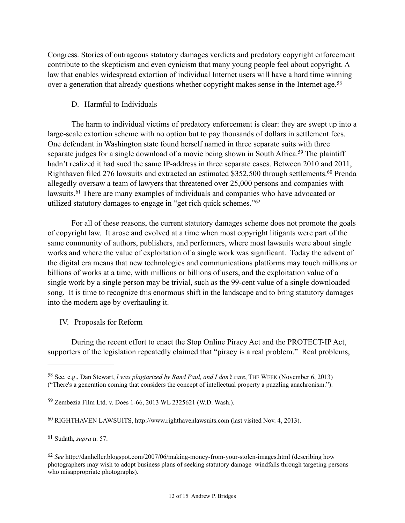Congress. Stories of outrageous statutory damages verdicts and predatory copyright enforcement contribute to the skepticism and even cynicism that many young people feel about copyright. A law that enables widespread extortion of individual Internet users will have a hard time winning over a generation that already questions whether copyright makes sense in the Internet age.<sup>58</sup>

## D. Harmful to Individuals

The harm to individual victims of predatory enforcement is clear: they are swept up into a large-scale extortion scheme with no option but to pay thousands of dollars in settlement fees. One defendant in Washington state found herself named in three separate suits with three separate judges for a single download of a movie being shown in South Africa.<sup>59</sup> The plaintiff hadn't realized it had sued the same IP-address in three separate cases. Between 2010 and 2011, Righthaven filed 276 lawsuits and extracted an estimated \$352,500 through settlements.<sup>60</sup> Prenda allegedly oversaw a team of lawyers that threatened over 25,000 persons and companies with lawsuits.  $61$  There are many examples of individuals and companies who have advocated or utilized statutory damages to engage in "get rich quick schemes."62

For all of these reasons, the current statutory damages scheme does not promote the goals of copyright law. It arose and evolved at a time when most copyright litigants were part of the same community of authors, publishers, and performers, where most lawsuits were about single works and where the value of exploitation of a single work was significant. Today the advent of the digital era means that new technologies and communications platforms may touch millions or billions of works at a time, with millions or billions of users, and the exploitation value of a single work by a single person may be trivial, such as the 99-cent value of a single downloaded song. It is time to recognize this enormous shift in the landscape and to bring statutory damages into the modern age by overhauling it.

IV. Proposals for Reform

During the recent effort to enact the Stop Online Piracy Act and the PROTECT-IP Act, supporters of the legislation repeatedly claimed that "piracy is a real problem." Real problems,

<sup>&</sup>lt;sup>58</sup> See, e.g., Dan Stewart, *I was plagiarized by Rand Paul, and I don't care*, THE WEEK (November 6, 2013) ("There's a generation coming that considers the concept of intellectual property a puzzling anachronism.").

Zembezia Film Ltd. v. Does 1-66, 2013 WL 2325621 (W.D. Wash.). <sup>59</sup>

<sup>&</sup>lt;sup>60</sup> RIGHTHAVEN LAWSUITS, http://www.righthavenlawsuits.com (last visited Nov. 4, 2013).

Sudath, *supra* n. 57. <sup>61</sup>

*See* http://danheller.blogspot.com/2007/06/making-money-from-your-stolen-images.html (describing how 62 photographers may wish to adopt business plans of seeking statutory damage windfalls through targeting persons who misappropriate photographs).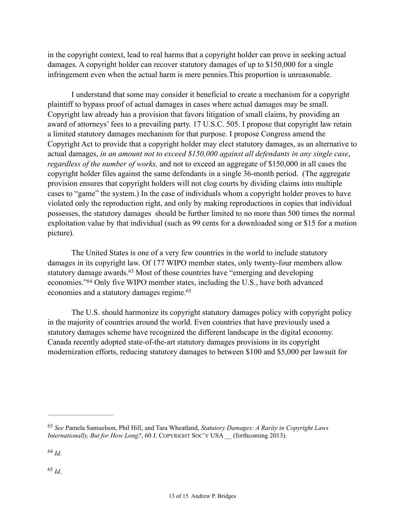in the copyright context, lead to real harms that a copyright holder can prove in seeking actual damages. A copyright holder can recover statutory damages of up to \$150,000 for a single infringement even when the actual harm is mere pennies.This proportion is unreasonable.

I understand that some may consider it beneficial to create a mechanism for a copyright plaintiff to bypass proof of actual damages in cases where actual damages may be small. Copyright law already has a provision that favors litigation of small claims, by providing an award of attorneys' fees to a prevailing party. 17 U.S.C. 505. I propose that copyright law retain a limited statutory damages mechanism for that purpose. I propose Congress amend the Copyright Act to provide that a copyright holder may elect statutory damages, as an alternative to actual damages, *in an amount not to exceed \$150,000 against all defendants in any single case*, *regardless of the number of works,* and not to exceed an aggregate of \$150,000 in all cases the copyright holder files against the same defendants in a single 36-month period. (The aggregate provision ensures that copyright holders will not clog courts by dividing claims into multiple cases to "game" the system.) In the case of individuals whom a copyright holder proves to have violated only the reproduction right, and only by making reproductions in copies that individual possesses, the statutory damages should be further limited to no more than 500 times the normal exploitation value by that individual (such as 99 cents for a downloaded song or \$15 for a motion picture).

 The United States is one of a very few countries in the world to include statutory damages in its copyright law. Of 177 WIPO member states, only twenty-four members allow statutory damage awards.<sup>63</sup> Most of those countries have "emerging and developing economies."<sup>64</sup> Only five WIPO member states, including the U.S., have both advanced economies and a statutory damages regime.<sup>65</sup>

 The U.S. should harmonize its copyright statutory damages policy with copyright policy in the majority of countries around the world. Even countries that have previously used a statutory damages scheme have recognized the different landscape in the digital economy. Canada recently adopted state-of-the-art statutory damages provisions in its copyright modernization efforts, reducing statutory damages to between \$100 and \$5,000 per lawsuit for

*See* Pamela Samuelson, Phil Hill, and Tara Wheatland, *Statutory Damages: A Rarity in Copyright Laws* <sup>63</sup> *Internationally, But for How Long?*, 60 J. COPYRIGHT SOC'Y USA \_\_ (forthcoming 2013).

 $^{64}$  *Id*.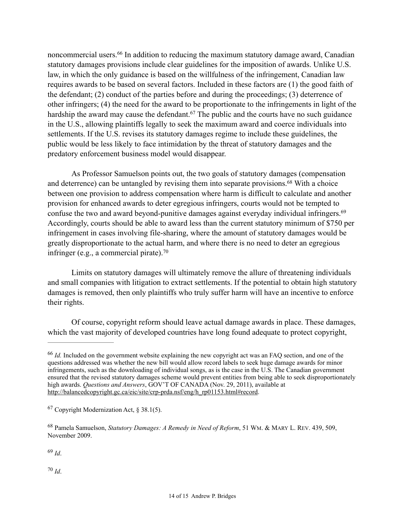noncommercial users.<sup>66</sup> In addition to reducing the maximum statutory damage award, Canadian statutory damages provisions include clear guidelines for the imposition of awards. Unlike U.S. law, in which the only guidance is based on the willfulness of the infringement, Canadian law requires awards to be based on several factors. Included in these factors are (1) the good faith of the defendant; (2) conduct of the parties before and during the proceedings; (3) deterrence of other infringers; (4) the need for the award to be proportionate to the infringements in light of the hardship the award may cause the defendant.<sup> $67$ </sup> The public and the courts have no such guidance in the U.S., allowing plaintiffs legally to seek the maximum award and coerce individuals into settlements. If the U.S. revises its statutory damages regime to include these guidelines, the public would be less likely to face intimidation by the threat of statutory damages and the predatory enforcement business model would disappear.

As Professor Samuelson points out, the two goals of statutory damages (compensation and deterrence) can be untangled by revising them into separate provisions.<sup>68</sup> With a choice between one provision to address compensation where harm is difficult to calculate and another provision for enhanced awards to deter egregious infringers, courts would not be tempted to confuse the two and award beyond-punitive damages against everyday individual infringers.69 Accordingly, courts should be able to award less than the current statutory minimum of \$750 per infringement in cases involving file-sharing, where the amount of statutory damages would be greatly disproportionate to the actual harm, and where there is no need to deter an egregious infringer (e.g., a commercial pirate). 70

 Limits on statutory damages will ultimately remove the allure of threatening individuals and small companies with litigation to extract settlements. If the potential to obtain high statutory damages is removed, then only plaintiffs who truly suffer harm will have an incentive to enforce their rights.

 Of course, copyright reform should leave actual damage awards in place. These damages, which the vast majority of developed countries have long found adequate to protect copyright,

 $69$  *Id*.

<sup>&</sup>lt;sup>66</sup> *Id.* Included on the government website explaining the new copyright act was an FAQ section, and one of the questions addressed was whether the new bill would allow record labels to seek huge damage awards for minor infringements, such as the downloading of individual songs, as is the case in the U.S. The Canadian government ensured that the revised statutory damages scheme would prevent entities from being able to seek disproportionately high awards. *Questions and Answers*, GOV'T OF CANADA (Nov. 29, 2011), available at http://balancedcopyright.gc.ca/eic/site/crp-prda.nsf/eng/h\_rp01153.html#record.

 $67$  Copyright Modernization Act, § 38.1(5).

<sup>&</sup>lt;sup>68</sup> Pamela Samuelson, *Statutory Damages: A Remedy in Need of Reform*, 51 WM. & MARY L. REV. 439, 509, November 2009.